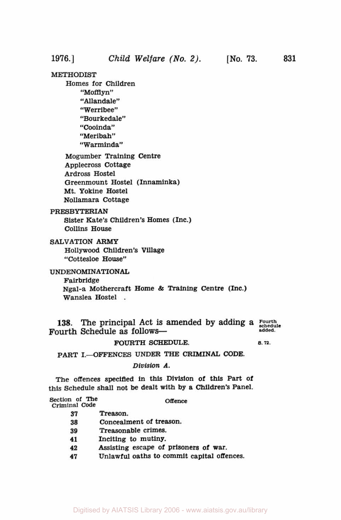**831** 

# **METHODIST**

Homes for Children "Mofflyn" "Allandale" "Werribee" "Bourkedale" "Cooinda" "Meribah" "Warminda"

Mogumber Training Centre Applecross Cottage **Ardross** Hostel Greenmount Hostel (Innaminka) Mt. Yokine Hostel Nollamara Cottage

# **PRESBYTERIAN**

Sister Kate's Children's Homes (Inc.) Collins House

SALVATION *ARMY* 

Hollywood Children's Village "Cottesloe House''

# UNDENOMINATIONAL

Fairbridge

Ngal-a Mothercraft Home & Training Centre (Inc.) Wanslea Hostel .

**138. The principal Act is amended by adding a** *Fourth schedule*  Fourth Schedule as follows-

### FOURTH **SCHEDULE. s.72.**

PART I.-OFFENCES UNDER THE CRIMINAL CODE.

Division *A.* 

**The** offences specified in this Division of this Part of **this** Schedule shall not be dealt with by a Children's Panel.

| Section of The<br>Criminal Code | Offence |
|---------------------------------|---------|
|                                 |         |

- **37** Treason.
- **38** Concealment of treason.
- **39** Treasonable crimes.
- **41** Inciting **to** mutiny.
- **42**  Assisting escape of prisoners of war.
- **47**  Unlawful oaths to commit capital offences.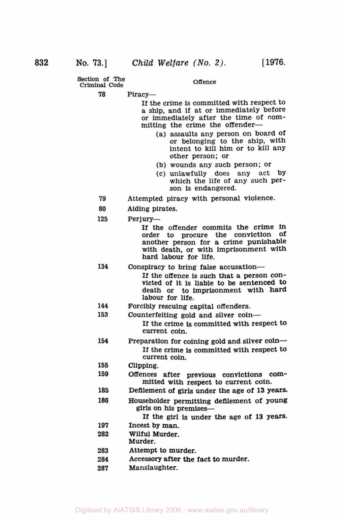**Offence Section of The Criminal Code** 

**78**  Piracy-

> If the crime is committed with respect to a ship, and if at or immediately before or immediately after the time of committing the crime the offender-

- (a) assaults any person on board of or belonging to the ship, with intent to kill him or to kill any other person; or
- (b) wounds any such person; or
- **(c)** unlawfully does any act **by**  which the life of any such person is endangered.
- **79**  Attempted piracy with personal violence
- **80**  Aiding pirates.
- **125**  Perjury-

If the offender commits the crime in order to procure the conviction Of another person for a crime punishable with death, or with imprisonment with hard labour for life.

- **134**  If the offence is such that a person convicted of it is liable to **be** sentenced **to**  death or to imprisonment with hard labour for life. Conspiracy to bring false accusation-
- **144**  Forcibly rescuing capital offenders.
- **153**  Counterfeiting gold and silver coin-

If the crime is committed with respect to current coin.

- **154**  Preparation for coining gold and silver coin-If the crime **is** committed with respect to current coin.
- **155**  Clipping.
- **159**  Offences after previous convictions committed with respect to current coin.
- **185**  Defilement of **girls** under the age of **13** years.
- **186**  Householder permitting defilement of **young**  girls on his premises-
	- If the girl is under the age of **13** years.
- **197**  Incest by man.
- **282**  Wilful Murder.
- Murder.
- **283**  Attempt to murder.
- **284**  Accessory after the fact to murder.
- **287**  Manslaughter.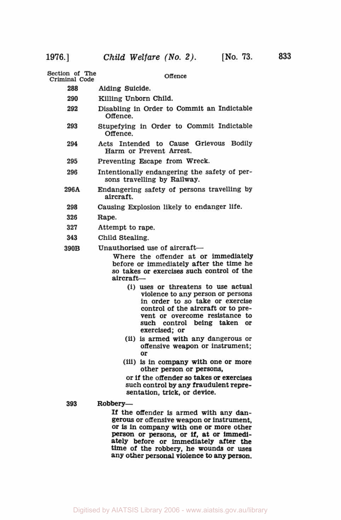**Section of The Offence Criminal Code 288** Aiding Suicide. **290** Killing Unborn Child. **292** Disabling in Order to Commit an Indictable Offence. **293** Stupefying in Order to Commit Indictable Offence. **<sup>294</sup>**Acts Intended to Cause Grievous Bodily Harm or Prevent Arrest. **295** Preventing Escape from Wreck. **296 296A 298 326** Rape. **327** Attempt to rape. **343** Child Stealing. **390B** Unauthorised use of aircraft—<br>Where the offender at or immediately Intentionally endangering the safety of per-Endangering safety of persons travelling **by**  Causing Explosion likely to endanger life. sons travelling by Railway. aircraft. before or immediately after the time he **so** takes or exercises such control of the aircraft- (i) uses or threatens to use actual violence to any person or persons in order to so take or exercise control of the aircraft or to prevent or overcome resistance to such control being taken or exercised; or **(ii) is** armed with any dangerous or offensive weapon or instrument; or (iii) is in company with one or more other person or persons, or if the offender **so** takes *or* exercises such control by any fraudulent repre- sentation, trick, or device. **393 Robbery -**  If the offender is armed with any dangerous or offensive weapon or instrument, or is in company with one or more other

Person or **persons,** or if, at or immediately before or immediately after the time of the robbery, he wounds or uses any other personal violence to **any** person.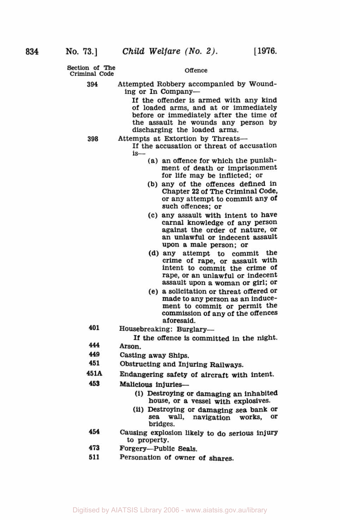**Section of The**  Criminal **Code** 

### **Offence**

**394**  Attempted Robbery accompanied by Wounding or In Company-

> If the offender **is** armed with any kind of loaded arms, and at or immediately before or immediately after the time of the assault he wounds any person by discharging the loaded arms.

**398** 

- Attempts at Extortion by Threats-
	- If the accusation or threat of accusation is-
		- (a) an offence for which the punishment of death or imprisonment for life may be inflicted; or
		- (b) any of the offences defined in Chapter **22** of The Criminal Code, or any attempt to commit any of such offences; or
		- (c) any assault with intent to have against the order of nature, or an unlawful or indecent assault upon a male person; or
		- (d) any attempt to commit the crime of rape, or assault with intent to commit the crime of rape, or an unlawful or indecent assault upon a woman or girl; or
		- **(e)** a solicitation or threat offered **Or**  made to any person **as** an inducement to commit or permit the commission of any of the offences aforesaid.
- **401**  Housebreaking: Burglary-

If the offence is committed in the night.

- **444**  Arson.
- **449**  Casting away **Ships.**
- **451**  Obstructing and Injuring Railways.
- **451A**  Endangering safety of aircraft with intent.
- **453 Malicious** injuries-
	- **(i)** Destroying or damaging an inhabited house, or a vessel with explosives.
	- **(ii)** Destroying or damaging sea bank **Or**  sea wall, navigation works, bridges.
- **454**  Causing explosion likely to do serious injury to property.
- **473**  Forgery-Public Seals.
- **511**  Personation of owner of shares.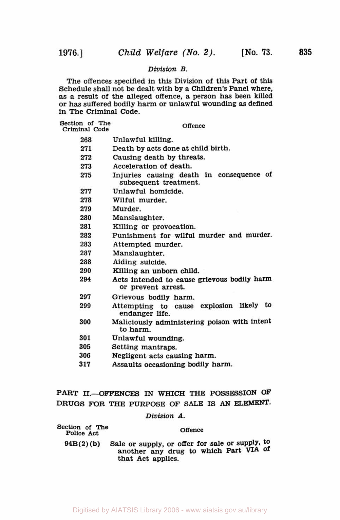# *Division B.*

The offences specifled in this Division of this Part of this Schedule shall not be dealt with by a Children's Panel where, **as** a result of the alleged offence, a person has been killed or has suffered bodily harm or unlawful wounding **as** defined in The Criminal Code.

| Section of The<br>Criminal Code | Offence                                                                                                                                                                                                                            |  |
|---------------------------------|------------------------------------------------------------------------------------------------------------------------------------------------------------------------------------------------------------------------------------|--|
| 268                             | Unlawful killing.                                                                                                                                                                                                                  |  |
| 271                             | Death by acts done at child birth.                                                                                                                                                                                                 |  |
| 272                             | Causing death by threats.                                                                                                                                                                                                          |  |
| 273                             | Acceleration of death.                                                                                                                                                                                                             |  |
| 275                             | Injuries causing death in consequence of<br>subsequent treatment.                                                                                                                                                                  |  |
| 277                             | Unlawful homicide.                                                                                                                                                                                                                 |  |
| 278                             | Wilful murder.                                                                                                                                                                                                                     |  |
| 279                             | Murder.                                                                                                                                                                                                                            |  |
| 280                             | Manslaughter.                                                                                                                                                                                                                      |  |
| 281                             | Killing or provocation.                                                                                                                                                                                                            |  |
| 282                             | Punishment for wilful murder and murder.                                                                                                                                                                                           |  |
| 283                             | Attempted murder.                                                                                                                                                                                                                  |  |
| 287                             | Manslaughter.                                                                                                                                                                                                                      |  |
| 288                             | Aiding suicide.                                                                                                                                                                                                                    |  |
| 290                             | Killing an unborn child.                                                                                                                                                                                                           |  |
| 294                             | Acts intended to cause grievous bodily harm<br>or prevent arrest.                                                                                                                                                                  |  |
| 297                             | Grievous bodily harm.                                                                                                                                                                                                              |  |
| 299                             | Attempting to cause explosion likely to<br>endanger life.                                                                                                                                                                          |  |
| 300                             | Maliciously administering poison with intent<br>to harm.                                                                                                                                                                           |  |
| 301                             | Unlawful wounding.                                                                                                                                                                                                                 |  |
| 305                             | Setting mantraps.                                                                                                                                                                                                                  |  |
| 0.00                            | <b>The construction</b> of the construction of the construction of the construction of the construction of the construction of the construction of the construction of the construction of the construction of the construction of |  |

- **306**  Negligent acts causing harm.
- **3 17**  Assaults occasioning bodily harm.

# PART II.-OFFENCES IN WHICH THE POSSESSION OF **DRUGS FOR** THE PURPOSE OF **SALE IS** *AN* **ELEMENT.**

# *Division A.*

| Section of The |                                                                                                               |
|----------------|---------------------------------------------------------------------------------------------------------------|
| Police Act     | Offence                                                                                                       |
| $94B(2)$ (b)   | Sale or supply, or offer for sale or supply, to<br>another any drug to which Part VIA of<br>that Act applies. |